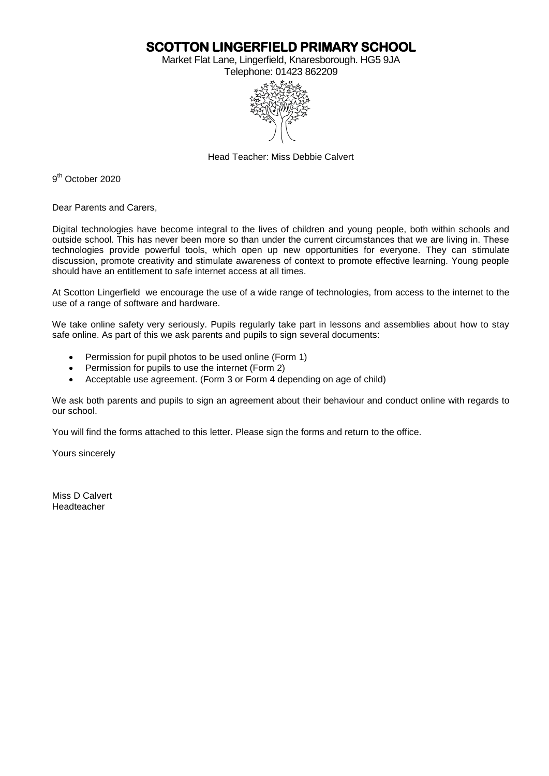**SCOTTON LINGERFIELD PRIMARY SCHOOL** 

Market Flat Lane, Lingerfield, Knaresborough. HG5 9JA





Head Teacher: Miss Debbie Calvert

9<sup>th</sup> October 2020

Dear Parents and Carers,

Digital technologies have become integral to the lives of children and young people, both within schools and outside school. This has never been more so than under the current circumstances that we are living in. These technologies provide powerful tools, which open up new opportunities for everyone. They can stimulate discussion, promote creativity and stimulate awareness of context to promote effective learning. Young people should have an entitlement to safe internet access at all times.

At Scotton Lingerfield we encourage the use of a wide range of technologies, from access to the internet to the use of a range of software and hardware.

We take online safety very seriously. Pupils regularly take part in lessons and assemblies about how to stay safe online. As part of this we ask parents and pupils to sign several documents:

- Permission for pupil photos to be used online (Form 1)
- Permission for pupils to use the internet (Form 2)
- Acceptable use agreement. (Form 3 or Form 4 depending on age of child)

We ask both parents and pupils to sign an agreement about their behaviour and conduct online with regards to our school.

You will find the forms attached to this letter. Please sign the forms and return to the office.

Yours sincerely

Miss D Calvert Headteacher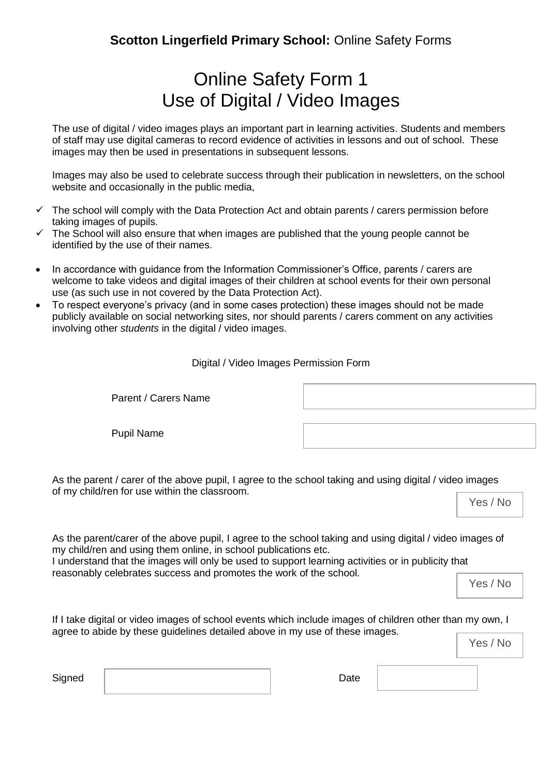### Online Safety Form 1 Use of Digital / Video Images

The use of digital / video images plays an important part in learning activities. Students and members of staff may use digital cameras to record evidence of activities in lessons and out of school. These images may then be used in presentations in subsequent lessons.

Images may also be used to celebrate success through their publication in newsletters, on the school website and occasionally in the public media,

- $\checkmark$  The school will comply with the Data Protection Act and obtain parents / carers permission before taking images of pupils.
- $\checkmark$  The School will also ensure that when images are published that the young people cannot be identified by the use of their names.
- In accordance with quidance from the Information Commissioner's Office, parents / carers are welcome to take videos and digital images of their children at school events for their own personal use (as such use in not covered by the Data Protection Act).
- To respect everyone's privacy (and in some cases protection) these images should not be made publicly available on social networking sites, nor should parents / carers comment on any activities involving other *students* in the digital / video images.

#### Digital / Video Images Permission Form

Parent / Carers Name

Pupil Name

As the parent / carer of the above pupil, I agree to the school taking and using digital / video images of my child/ren for use within the classroom.

Yes / No

As the parent/carer of the above pupil, I agree to the school taking and using digital / video images of my child/ren and using them online, in school publications etc.

I understand that the images will only be used to support learning activities or in publicity that reasonably celebrates success and promotes the work of the school.

Yes / No

If I take digital or video images of school events which include images of children other than my own, I agree to abide by these guidelines detailed above in my use of these images.

Yes / No

| Signed | Date |
|--------|------|
|        |      |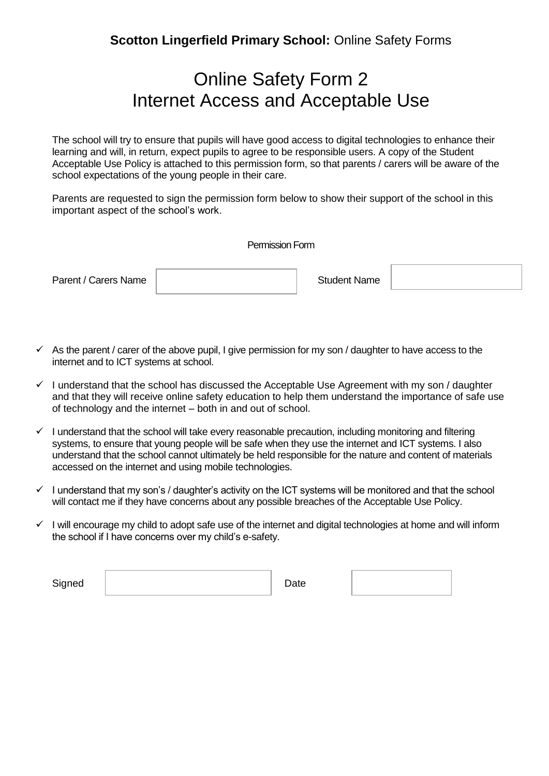# Online Safety Form 2 Internet Access and Acceptable Use

The school will try to ensure that pupils will have good access to digital technologies to enhance their learning and will, in return, expect pupils to agree to be responsible users. A copy of the Student Acceptable Use Policy is attached to this permission form, so that parents / carers will be aware of the school expectations of the young people in their care.

Parents are requested to sign the permission form below to show their support of the school in this important aspect of the school's work.

| Permission Form      |  |                     |  |
|----------------------|--|---------------------|--|
| Parent / Carers Name |  | <b>Student Name</b> |  |

- $\checkmark$  As the parent / carer of the above pupil, I give permission for my son / daughter to have access to the internet and to ICT systems at school.
- $\checkmark$  I understand that the school has discussed the Acceptable Use Agreement with my son / daughter and that they will receive online safety education to help them understand the importance of safe use of technology and the internet – both in and out of school.
- $\checkmark$  I understand that the school will take every reasonable precaution, including monitoring and filtering systems, to ensure that young people will be safe when they use the internet and ICT systems. I also understand that the school cannot ultimately be held responsible for the nature and content of materials accessed on the internet and using mobile technologies.
- $\checkmark$  I understand that my son's / daughter's activity on the ICT systems will be monitored and that the school will contact me if they have concerns about any possible breaches of the Acceptable Use Policy.
- $\checkmark$  I will encourage my child to adopt safe use of the internet and digital technologies at home and will inform the school if I have concerns over my child's e-safety.

| Signed | Jate |  |
|--------|------|--|
|        |      |  |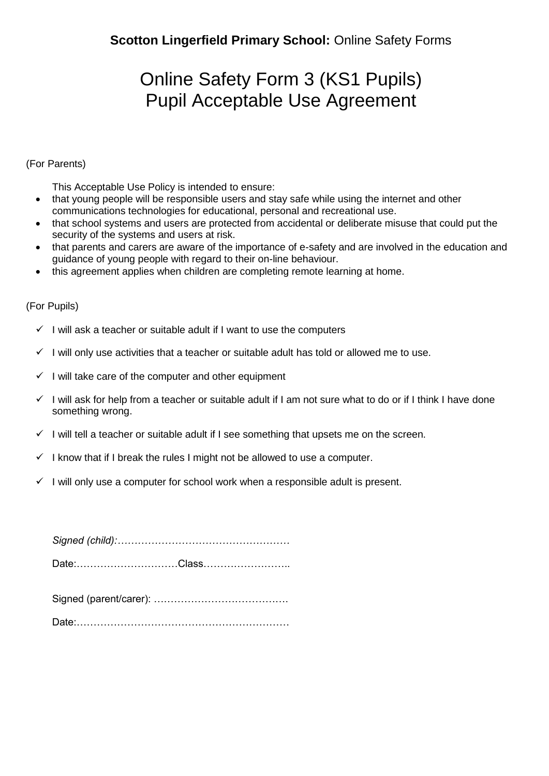# Online Safety Form 3 (KS1 Pupils) Pupil Acceptable Use Agreement

#### (For Parents)

This Acceptable Use Policy is intended to ensure:

- that young people will be responsible users and stay safe while using the internet and other communications technologies for educational, personal and recreational use.
- that school systems and users are protected from accidental or deliberate misuse that could put the security of the systems and users at risk.
- that parents and carers are aware of the importance of e-safety and are involved in the education and guidance of young people with regard to their on-line behaviour.
- this agreement applies when children are completing remote learning at home.

#### (For Pupils)

- $\checkmark$  I will ask a teacher or suitable adult if I want to use the computers
- $\checkmark$  I will only use activities that a teacher or suitable adult has told or allowed me to use.
- $\checkmark$  I will take care of the computer and other equipment
- $\checkmark$  I will ask for help from a teacher or suitable adult if I am not sure what to do or if I think I have done something wrong.
- $\checkmark$  I will tell a teacher or suitable adult if I see something that upsets me on the screen.
- $\checkmark$  I know that if I break the rules I might not be allowed to use a computer.
- $\checkmark$  I will only use a computer for school work when a responsible adult is present.

Date:…………………………Class……………………..

Signed (parent/carer): ………………………………….

Date:………………………………………………………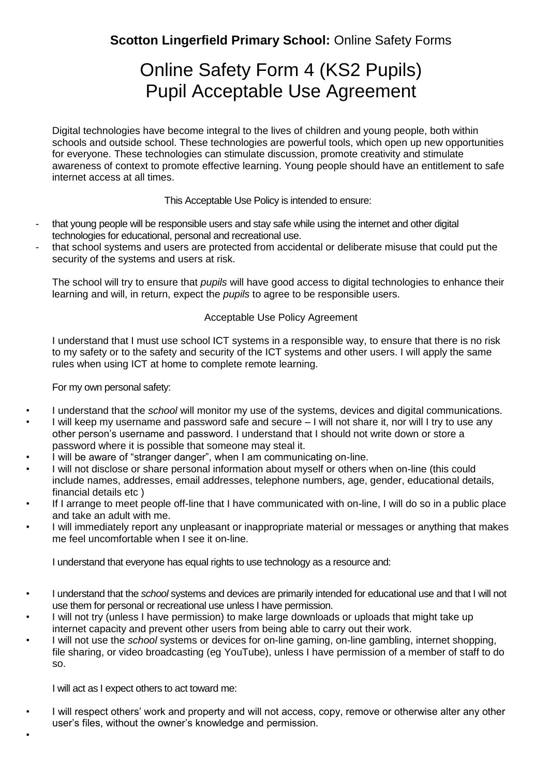**Scotton Lingerfield Primary School:** Online Safety Forms

# Online Safety Form 4 (KS2 Pupils) Pupil Acceptable Use Agreement

Digital technologies have become integral to the lives of children and young people, both within schools and outside school. These technologies are powerful tools, which open up new opportunities for everyone. These technologies can stimulate discussion, promote creativity and stimulate awareness of context to promote effective learning. Young people should have an entitlement to safe internet access at all times.

This Acceptable Use Policy is intended to ensure:

- that young people will be responsible users and stay safe while using the internet and other digital technologies for educational, personal and recreational use.
- that school systems and users are protected from accidental or deliberate misuse that could put the security of the systems and users at risk.

The school will try to ensure that *pupils* will have good access to digital technologies to enhance their learning and will, in return, expect the *pupils* to agree to be responsible users.

#### Acceptable Use Policy Agreement

I understand that I must use school ICT systems in a responsible way, to ensure that there is no risk to my safety or to the safety and security of the ICT systems and other users. I will apply the same rules when using ICT at home to complete remote learning.

For my own personal safety:

- I understand that the *school* will monitor my use of the systems, devices and digital communications.
- I will keep my username and password safe and secure I will not share it, nor will I try to use any other person's username and password. I understand that I should not write down or store a password where it is possible that someone may steal it.
- I will be aware of "stranger danger", when I am communicating on-line.
- I will not disclose or share personal information about myself or others when on-line (this could include names, addresses, email addresses, telephone numbers, age, gender, educational details, financial details etc )
- If I arrange to meet people off-line that I have communicated with on-line, I will do so in a public place and take an adult with me.
- I will immediately report any unpleasant or inappropriate material or messages or anything that makes me feel uncomfortable when I see it on-line.

I understand that everyone has equal rights to use technology as a resource and:

- I understand that the *school* systems and devices are primarily intended for educational use and that I will not use them for personal or recreational use unless I have permission.
- I will not try (unless I have permission) to make large downloads or uploads that might take up internet capacity and prevent other users from being able to carry out their work.
- I will not use the *school* systems or devices for on-line gaming, on-line gambling, internet shopping, file sharing, or video broadcasting (eg YouTube), unless I have permission of a member of staff to do so.

I will act as I expect others to act toward me:

•

• I will respect others' work and property and will not access, copy, remove or otherwise alter any other user's files, without the owner's knowledge and permission.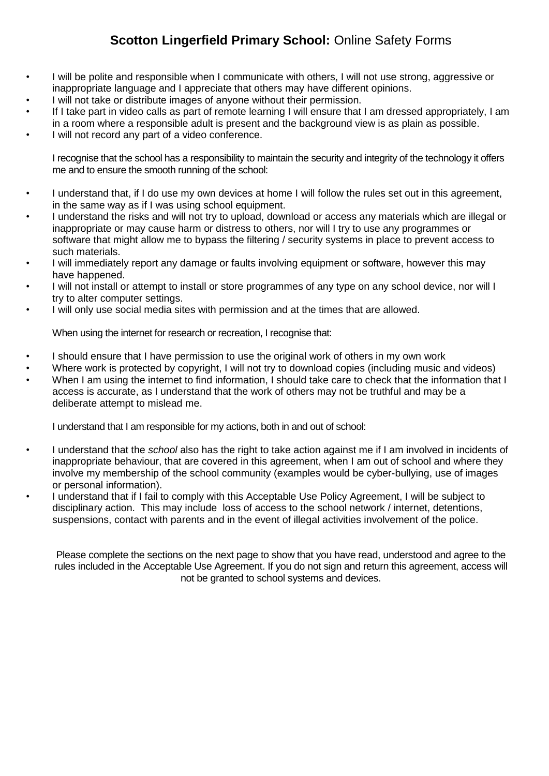### **Scotton Lingerfield Primary School:** Online Safety Forms

- I will be polite and responsible when I communicate with others, I will not use strong, aggressive or inappropriate language and I appreciate that others may have different opinions.
- I will not take or distribute images of anyone without their permission.
- If I take part in video calls as part of remote learning I will ensure that I am dressed appropriately, I am in a room where a responsible adult is present and the background view is as plain as possible.
- I will not record any part of a video conference.

I recognise that the school has a responsibility to maintain the security and integrity of the technology it offers me and to ensure the smooth running of the school:

- I understand that, if I do use my own devices at home I will follow the rules set out in this agreement, in the same way as if I was using school equipment.
- I understand the risks and will not try to upload, download or access any materials which are illegal or inappropriate or may cause harm or distress to others, nor will I try to use any programmes or software that might allow me to bypass the filtering / security systems in place to prevent access to such materials.
- I will immediately report any damage or faults involving equipment or software, however this may have happened.
- I will not install or attempt to install or store programmes of any type on any school device, nor will I try to alter computer settings.
- I will only use social media sites with permission and at the times that are allowed.

When using the internet for research or recreation, I recognise that:

- I should ensure that I have permission to use the original work of others in my own work
- Where work is protected by copyright, I will not try to download copies (including music and videos)
- When I am using the internet to find information, I should take care to check that the information that I access is accurate, as I understand that the work of others may not be truthful and may be a deliberate attempt to mislead me.

I understand that I am responsible for my actions, both in and out of school:

- I understand that the *school* also has the right to take action against me if I am involved in incidents of inappropriate behaviour, that are covered in this agreement, when I am out of school and where they involve my membership of the school community (examples would be cyber-bullying, use of images or personal information).
- I understand that if I fail to comply with this Acceptable Use Policy Agreement, I will be subject to disciplinary action. This may include loss of access to the school network / internet, detentions, suspensions, contact with parents and in the event of illegal activities involvement of the police.

Please complete the sections on the next page to show that you have read, understood and agree to the rules included in the Acceptable Use Agreement. If you do not sign and return this agreement, access will not be granted to school systems and devices.